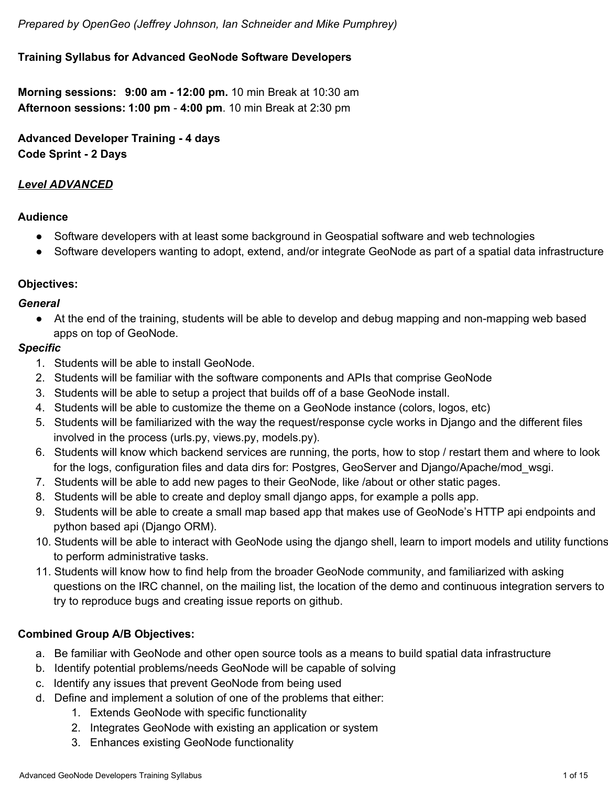### **Training Syllabus for Advanced GeoNode Software Developers**

**Morning sessions: 9:00 am 12:00 pm.** 10 min Break at 10:30 am **Afternoon sessions: 1:00 pm 4:00 pm**. 10 min Break at 2:30 pm

**Advanced Developer Training 4 days Code Sprint 2 Days**

#### *Level ADVANCED*

#### **Audience**

- Software developers with at least some background in Geospatial software and web technologies
- Software developers wanting to adopt, extend, and/or integrate GeoNode as part of a spatial data infrastructure

#### **Objectives:**

#### *General*

• At the end of the training, students will be able to develop and debug mapping and non-mapping web based apps on top of GeoNode.

#### *Specific*

- 1. Students will be able to install GeoNode.
- 2. Students will be familiar with the software components and APIs that comprise GeoNode
- 3. Students will be able to setup a project that builds off of a base GeoNode install.
- 4. Students will be able to customize the theme on a GeoNode instance (colors, logos, etc)
- 5. Students will be familiarized with the way the request/response cycle works in Django and the different files involved in the process (urls.py, views.py, models.py).
- 6. Students will know which backend services are running, the ports, how to stop / restart them and where to look for the logs, configuration files and data dirs for: Postgres, GeoServer and Django/Apache/mod\_wsgi.
- 7. Students will be able to add new pages to their GeoNode, like /about or other static pages.
- 8. Students will be able to create and deploy small django apps, for example a polls app.
- 9. Students will be able to create a small map based app that makes use of GeoNode's HTTP api endpoints and python based api (Django ORM).
- 10. Students will be able to interact with GeoNode using the django shell, learn to import models and utility functions to perform administrative tasks.
- 11. Students will know how to find help from the broader GeoNode community, and familiarized with asking questions on the IRC channel, on the mailing list, the location of the demo and continuous integration servers to try to reproduce bugs and creating issue reports on github.

### **Combined Group A/B Objectives:**

- a. Be familiar with GeoNode and other open source tools as a means to build spatial data infrastructure
- b. Identify potential problems/needs GeoNode will be capable of solving
- c. Identify any issues that prevent GeoNode from being used
- d. Define and implement a solution of one of the problems that either:
	- 1. Extends GeoNode with specific functionality
	- 2. Integrates GeoNode with existing an application or system
	- 3. Enhances existing GeoNode functionality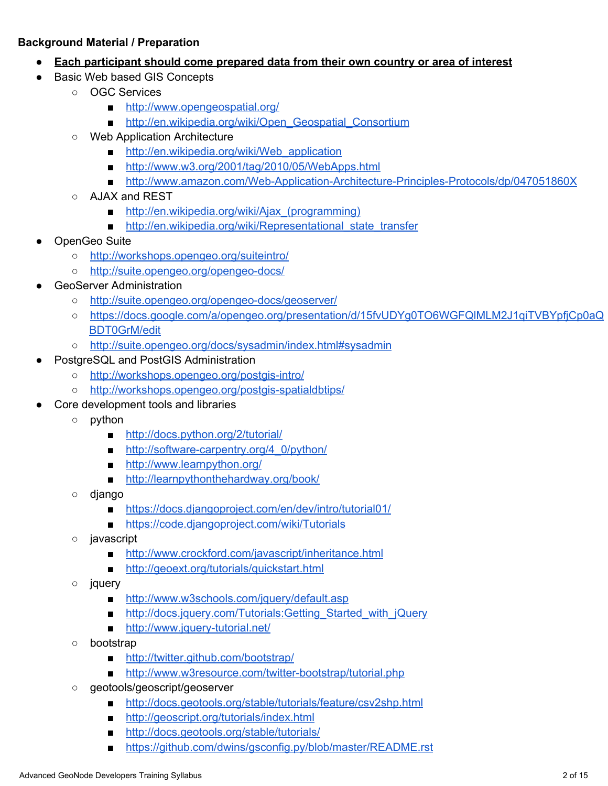#### **Background Material / Preparation**

- **Each participant should come prepared data from their own country or area of interest**
- Basic Web based GIS Concepts
	- OGC Services
		- [http://www.opengeospatial.org/](http://www.google.com/url?q=http%3A%2F%2Fwww.opengeospatial.org%2F&sa=D&sntz=1&usg=AFQjCNFNFJ6iv0FVMw3py8xqAhks3q2GUw)
		- [http://en.wikipedia.org/wiki/Open\\_Geospatial\\_Consortium](http://www.google.com/url?q=http%3A%2F%2Fen.wikipedia.org%2Fwiki%2FOpen_Geospatial_Consortium&sa=D&sntz=1&usg=AFQjCNHyGaqK3pgK59knQV3ZbVZZH-RPnQ)
		- Web Application Architecture
			- http://en.wikipedia.org/wiki/Web application
			- [http://www.w3.org/2001/tag/2010/05/WebApps.html](http://www.google.com/url?q=http%3A%2F%2Fwww.w3.org%2F2001%2Ftag%2F2010%2F05%2FWebApps.html&sa=D&sntz=1&usg=AFQjCNE6XwSYa_eiOsgVTPNsrp9CSU-guQ)
			- http://www.amazon.com/Web-Application-Architecture-Principles-Protocols/dp/047051860X
		- AJAX and REST
			- http://en.wikipedia.org/wiki/Ajax (programming)
			- http://en.wikipedia.org/wiki/Representational state transfer
- OpenGeo Suite
	- [http://workshops.opengeo.org/suiteintro/](http://www.google.com/url?q=http%3A%2F%2Fworkshops.opengeo.org%2Fsuiteintro%2F&sa=D&sntz=1&usg=AFQjCNEsRps4wpSri8IsuzSY4ryzcMafFA)
	- o http://suite.opengeo.org/opengeo-docs/
- **GeoServer Administration** 
	- o http://suite.opengeo.org/opengeo-docs/geoserver/
	- [https://docs.google.com/a/opengeo.org/presentation/d/15fvUDYg0TO6WGFQlMLM2J1qiTVBYpfjCp0aQ](https://docs.google.com/a/opengeo.org/presentation/d/15fvUDYg0TO6WGFQlMLM2J1qiTVBYpfjCp0aQBDT0GrM/edit#slide=id.g2e4bd7ac_0_35) [BDT0GrM/edit](https://docs.google.com/a/opengeo.org/presentation/d/15fvUDYg0TO6WGFQlMLM2J1qiTVBYpfjCp0aQBDT0GrM/edit#slide=id.g2e4bd7ac_0_35)
	- [http://suite.opengeo.org/docs/sysadmin/index.html#sysadmin](http://www.google.com/url?q=http%3A%2F%2Fsuite.opengeo.org%2Fdocs%2Fsysadmin%2Findex.html%23sysadmin&sa=D&sntz=1&usg=AFQjCNEg-egUQdmTdp_CBKxZg-OvLIilLA)
- PostgreSQL and PostGIS Administration
	- o http://workshops.opengeo.org/postgis-intro/
	- o http://workshops.opengeo.org/postgis-spatialdbtips/
- Core development tools and libraries
	- python
		- [http://docs.python.org/2/tutorial/](http://www.google.com/url?q=http%3A%2F%2Fdocs.python.org%2F2%2Ftutorial%2F&sa=D&sntz=1&usg=AFQjCNGR9Ipb_Fd3vA3jyUO7n0tWNiMq5A)
		- http://software-carpentry.org/4\_0/python/
		- [http://www.learnpython.org/](http://www.google.com/url?q=http%3A%2F%2Fwww.learnpython.org%2F&sa=D&sntz=1&usg=AFQjCNF1ODuJJxnJvzLA47g3Cn1e-20IGg)
		- [http://learnpythonthehardway.org/book/](http://www.google.com/url?q=http%3A%2F%2Flearnpythonthehardway.org%2Fbook%2F&sa=D&sntz=1&usg=AFQjCNHS1QkmgBgyBaxx5upNUhweT-q5Aw)
	- django
		- [https://docs.djangoproject.com/en/dev/intro/tutorial01/](http://www.google.com/url?q=https%3A%2F%2Fdocs.djangoproject.com%2Fen%2Fdev%2Fintro%2Ftutorial01%2F&sa=D&sntz=1&usg=AFQjCNGF3d6iZruU-KpxxDTxEKn1POzj0w)
		- [https://code.djangoproject.com/wiki/Tutorials](http://www.google.com/url?q=https%3A%2F%2Fcode.djangoproject.com%2Fwiki%2FTutorials&sa=D&sntz=1&usg=AFQjCNGawXabhvP2tO9Y3DyaH5pRHEydnw)
	- javascript
		- [http://www.crockford.com/javascript/inheritance.html](http://www.google.com/url?q=http%3A%2F%2Fwww.crockford.com%2Fjavascript%2Finheritance.html&sa=D&sntz=1&usg=AFQjCNHuLcsWF4OnfpSLQTNSSw8BLW25lA)
		- [http://geoext.org/tutorials/quickstart.html](http://www.google.com/url?q=http%3A%2F%2Fgeoext.org%2Ftutorials%2Fquickstart.html&sa=D&sntz=1&usg=AFQjCNF91WAuYxWotLIZnADbhNoXok5uOQ)
	- jquery
		- [http://www.w3schools.com/jquery/default.asp](http://www.google.com/url?q=http%3A%2F%2Fwww.w3schools.com%2Fjquery%2Fdefault.asp&sa=D&sntz=1&usg=AFQjCNEMYArv1hEwLLEXUpSRwTrxavPifg)
		- http://docs.jquery.com/Tutorials:Getting\_Started\_with\_jQuery
		- http://www.jquery-tutorial.net/
	- bootstrap
		- [http://twitter.github.com/bootstrap/](http://www.google.com/url?q=http%3A%2F%2Ftwitter.github.com%2Fbootstrap%2F&sa=D&sntz=1&usg=AFQjCNHZyaAcn6UVVom0zjOKTZ9B01u7ww)
		- http://www.w3resource.com/twitter-bootstrap/tutorial.php
	- geotools/geoscript/geoserver
		- [http://docs.geotools.org/stable/tutorials/feature/csv2shp.html](http://www.google.com/url?q=http%3A%2F%2Fdocs.geotools.org%2Fstable%2Ftutorials%2Ffeature%2Fcsv2shp.html&sa=D&sntz=1&usg=AFQjCNFdifNFstS_lpK-qaXpeUgBZR5J1Q)
		- [http://geoscript.org/tutorials/index.html](http://www.google.com/url?q=http%3A%2F%2Fgeoscript.org%2Ftutorials%2Findex.html&sa=D&sntz=1&usg=AFQjCNHshApHuG2UmkWXVb4auSt7PL1k9A)
		- [http://docs.geotools.org/stable/tutorials/](http://www.google.com/url?q=http%3A%2F%2Fdocs.geotools.org%2Fstable%2Ftutorials%2F&sa=D&sntz=1&usg=AFQjCNECuvL0JSShfIzcv4p_JXG2_qktQg)
		- [https://github.com/dwins/gsconfig.py/blob/master/README.rst](http://www.google.com/url?q=https%3A%2F%2Fgithub.com%2Fdwins%2Fgsconfig.py%2Fblob%2Fmaster%2FREADME.rst&sa=D&sntz=1&usg=AFQjCNF-ajJEcvQhTlWAq3PF8rp-OCVBUA)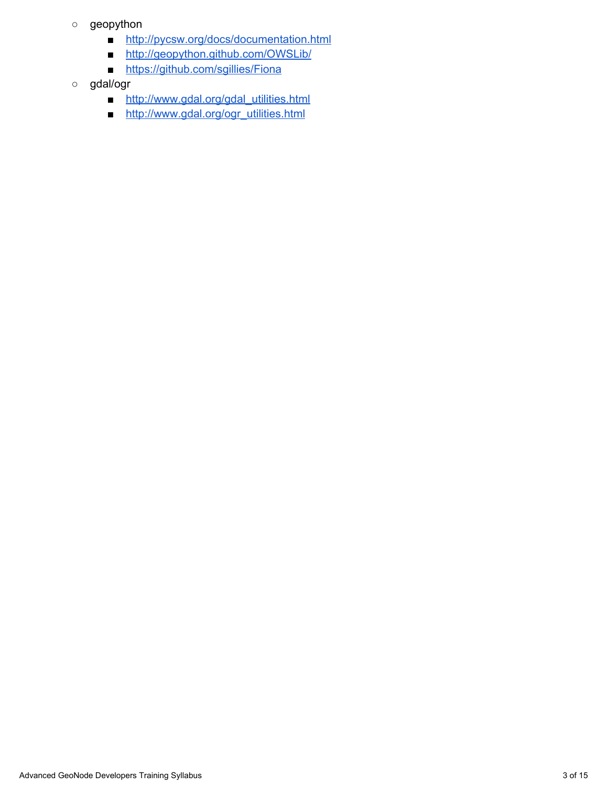- geopython
	- [http://pycsw.org/docs/documentation.html](http://www.google.com/url?q=http%3A%2F%2Fpycsw.org%2Fdocs%2Fdocumentation.html&sa=D&sntz=1&usg=AFQjCNGUOTD9au1_sEczqnRG3lt_-382sw)
	- [http://geopython.github.com/OWSLib/](http://www.google.com/url?q=http%3A%2F%2Fgeopython.github.com%2FOWSLib%2F&sa=D&sntz=1&usg=AFQjCNExcjauSMKo0kAdyfYhBnimVSjPdA)
	- [https://github.com/sgillies/Fiona](http://www.google.com/url?q=https%3A%2F%2Fgithub.com%2Fsgillies%2FFiona&sa=D&sntz=1&usg=AFQjCNGHDrQLqMWuTHitvGiCzGaeomv2IQ)
- gdal/ogr
	- [http://www.gdal.org/gdal\\_utilities.html](http://www.google.com/url?q=http%3A%2F%2Fwww.gdal.org%2Fgdal_utilities.html&sa=D&sntz=1&usg=AFQjCNFhE15Zy8CXA1REq7vEZ8-4hMm7CA)
	- [http://www.gdal.org/ogr\\_utilities.html](http://www.google.com/url?q=http%3A%2F%2Fwww.gdal.org%2Fogr_utilities.html&sa=D&sntz=1&usg=AFQjCNEqR57Z1kzk5JSJzEpbu7i_-1P1zA)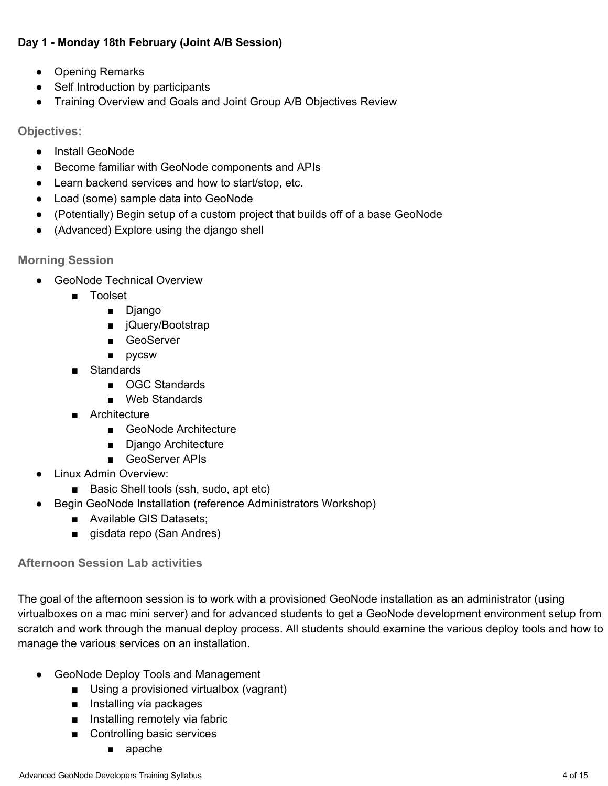## **Day 1 Monday 18th February (Joint A/B Session)**

- Opening Remarks
- Self Introduction by participants
- Training Overview and Goals and Joint Group A/B Objectives Review

**Objectives:**

- **●** Install GeoNode
- **●** Become familiar with GeoNode components and APIs
- **●** Learn backend services and how to start/stop, etc.
- **●** Load (some) sample data into GeoNode
- **●** (Potentially) Begin setup of a custom project that builds off of a base GeoNode
- **●** (Advanced) Explore using the django shell

**Morning Session**

- GeoNode Technical Overview
	- Toolset
		- Django
		- jQuery/Bootstrap
		- GeoServer
		- pycsw
	- Standards
		- OGC Standards
		- Web Standards
	- Architecture
		- GeoNode Architecture
		- Django Architecture
		- GeoServer APIs
- **Linux Admin Overview:** 
	- Basic Shell tools (ssh, sudo, apt etc)
	- Begin GeoNode Installation (reference Administrators Workshop)
		- Available GIS Datasets;
		- gisdata repo (San Andres)

# **Afternoon Session Lab activities**

The goal of the afternoon session is to work with a provisioned GeoNode installation as an administrator (using virtualboxes on a mac mini server) and for advanced students to get a GeoNode development environment setup from scratch and work through the manual deploy process. All students should examine the various deploy tools and how to manage the various services on an installation.

- GeoNode Deploy Tools and Management
	- Using a provisioned virtualbox (vagrant)
	- Installing via packages
	- Installing remotely via fabric
	- Controlling basic services
		- apache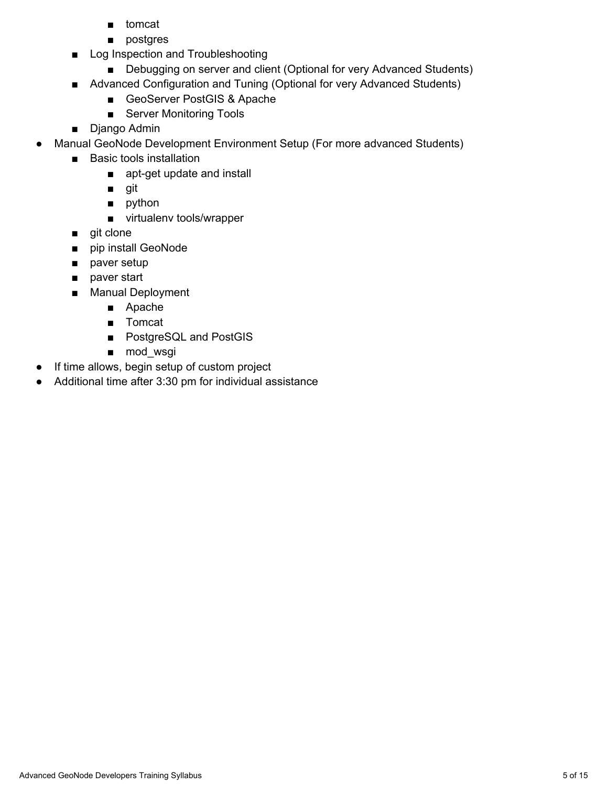- tomcat
- postgres
- Log Inspection and Troubleshooting
	- Debugging on server and client (Optional for very Advanced Students)
- Advanced Configuration and Tuning (Optional for very Advanced Students)
	- GeoServer PostGIS & Apache
	- Server Monitoring Tools
- Django Admin
- Manual GeoNode Development Environment Setup (For more advanced Students)
	- Basic tools installation
		- apt-get update and install
		- git
		- python
		- virtualenv tools/wrapper
	- git clone
	- pip install GeoNode
	- paver setup
	- paver start
	- Manual Deployment
		- Apache
		- Tomcat
		- PostgreSQL and PostGIS
		- mod\_wsgi
- If time allows, begin setup of custom project
- Additional time after 3:30 pm for individual assistance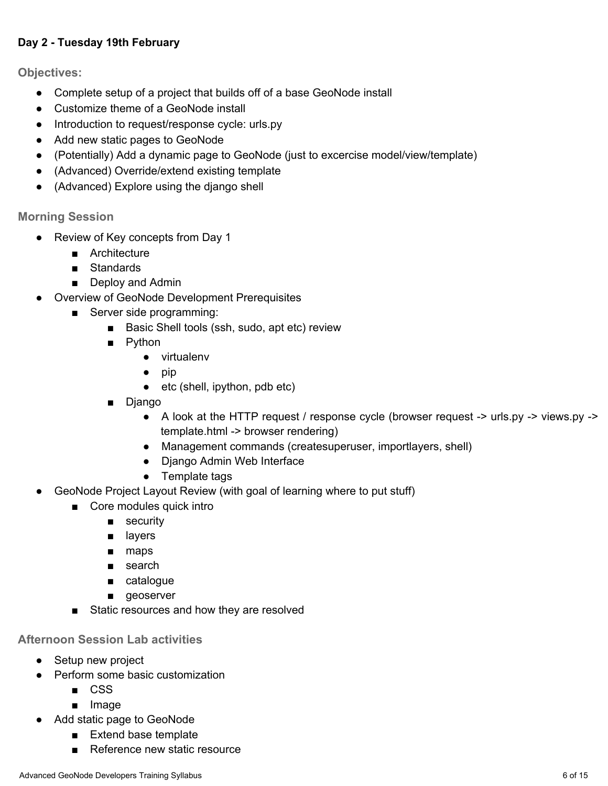### **Day 2 Tuesday 19th February**

**Objectives:**

- **●** Complete setup of a project that builds off of a base GeoNode install
- **●** Customize theme of a GeoNode install
- **●** Introduction to request/response cycle: urls.py
- **●** Add new static pages to GeoNode
- **●** (Potentially) Add a dynamic page to GeoNode (just to excercise model/view/template)
- **●** (Advanced) Override/extend existing template
- **●** (Advanced) Explore using the django shell

### **Morning Session**

- **●** Review of Key concepts from Day 1
	- Architecture
	- Standards
	- Deploy and Admin
- Overview of GeoNode Development Prerequisites
	- Server side programming:
		- Basic Shell tools (ssh, sudo, apt etc) review
		- Python
			- virtualenv
			- pip
			- etc (shell, ipython, pdb etc)
		- Django
			- A look at the HTTP request / response cycle (browser request -> urls.py -> views.py -> template.html -> browser rendering)
			- Management commands (createsuperuser, importlayers, shell)
			- Django Admin Web Interface
			- Template tags
- GeoNode Project Layout Review (with goal of learning where to put stuff)
	- Core modules quick intro
		- security
		- layers
		- maps
		- search
		- catalogue
		- geoserver
	- Static resources and how they are resolved

### **Afternoon Session Lab activities**

- Setup new project
- Perform some basic customization
	- CSS
	- Image
- Add static page to GeoNode
	- Extend base template
	- Reference new static resource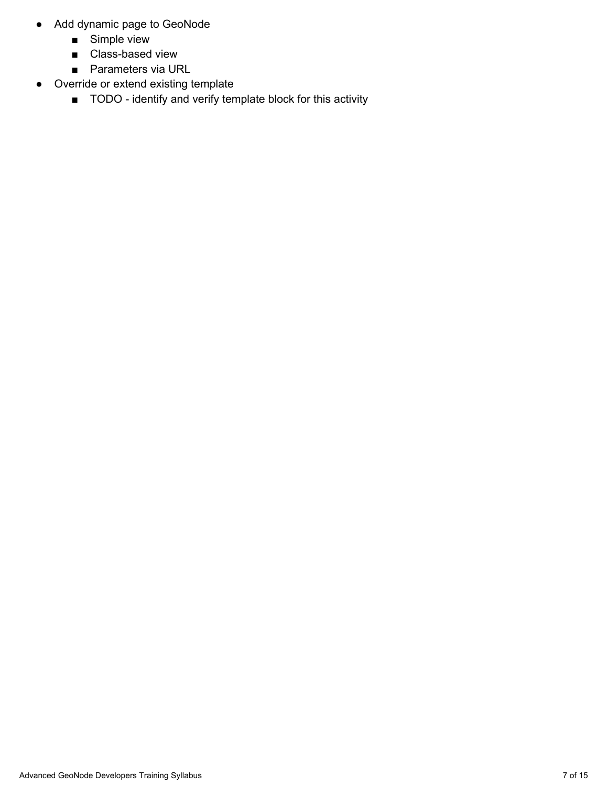- Add dynamic page to GeoNode
	- Simple view
	- Class-based view
	- Parameters via URL
- Override or extend existing template
	- TODO identify and verify template block for this activity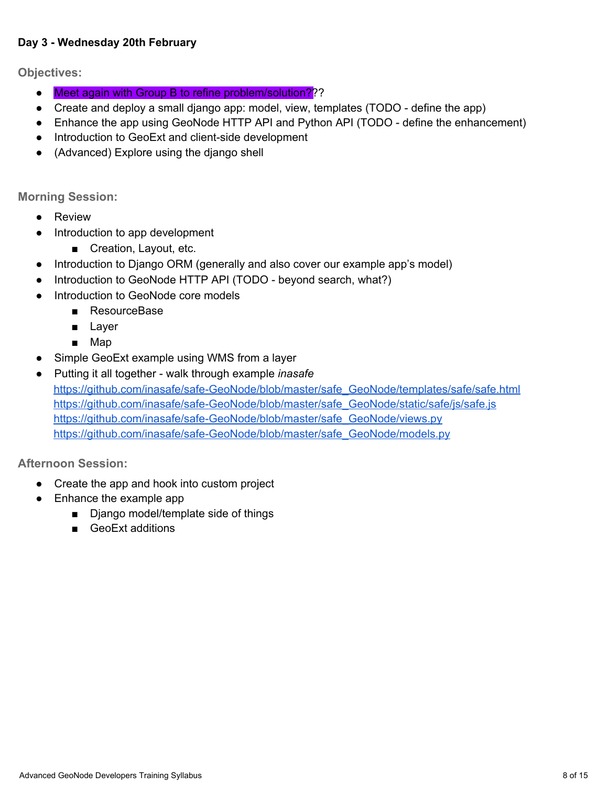#### **Day 3 Wednesday 20th February**

**Objectives:**

- Meet again with Group B to refine problem/solution???
- Create and deploy a small django app: model, view, templates (TODO define the app)
- Enhance the app using GeoNode HTTP API and Python API (TODO define the enhancement)
- Introduction to GeoExt and client-side development
- (Advanced) Explore using the django shell

**Morning Session:**

- **●** Review
- **●** Introduction to app development
	- Creation, Layout, etc.
- **●** Introduction to Django ORM (generally and also cover our example app's model)
- Introduction to GeoNode HTTP API (TODO beyond search, what?)
- **●** Introduction to GeoNode core models
	- **■** ResourceBase
	- **■** Layer
	- **■** Map
- **●** Simple GeoExt example using WMS from a layer
- **●** Putting it all together walk through example *inasafe* https://github.com/inasafe/safe-GeoNode/blob/master/safe\_GeoNode/templates/safe/safe.html https://github.com/inasafe/safe-GeoNode/blob/master/safe\_GeoNode/static/safe/js/safe.js https://github.com/inasafe/safe-GeoNode/blob/master/safe\_GeoNode/views.py https://github.com/inasafe/safe-GeoNode/blob/master/safe\_GeoNode/models.py

**Afternoon Session:**

- Create the app and hook into custom project
- Enhance the example app
	- Django model/template side of things
	- GeoExt additions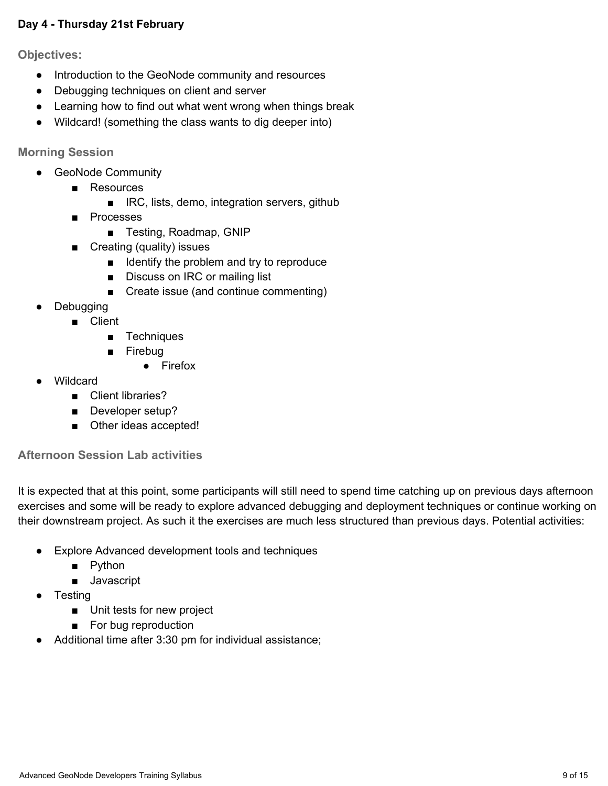#### **Day 4 Thursday 21st February**

**Objectives:**

- **●** Introduction to the GeoNode community and resources
- **●** Debugging techniques on client and server
- **●** Learning how to find out what went wrong when things break
- **●** Wildcard! (something the class wants to dig deeper into)

**Morning Session**

- GeoNode Community
	- Resources
		- IRC, lists, demo, integration servers, github
	- Processes
		- Testing, Roadmap, GNIP
	- Creating (quality) issues
		- Identify the problem and try to reproduce
		- Discuss on IRC or mailing list
		- Create issue (and continue commenting)
- Debugging
	- Client
		- Techniques
		- Firebug
			- Firefox
- **Wildcard** 
	- Client libraries?
	- Developer setup?
	- Other ideas accepted!

#### **Afternoon Session Lab activities**

It is expected that at this point, some participants will still need to spend time catching up on previous days afternoon exercises and some will be ready to explore advanced debugging and deployment techniques or continue working on their downstream project. As such it the exercises are much less structured than previous days. Potential activities:

- Explore Advanced development tools and techniques
	- Python
	- Javascript
- **Testing** 
	- Unit tests for new project
	- For bug reproduction
- Additional time after 3:30 pm for individual assistance;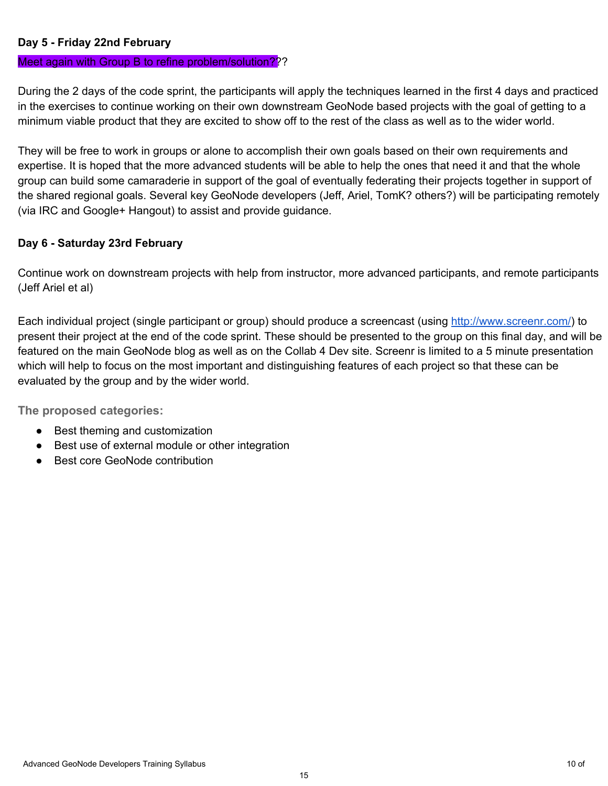#### **Day 5 Friday 22nd February**

#### Meet again with Group B to refine problem/solution???

During the 2 days of the code sprint, the participants will apply the techniques learned in the first 4 days and practiced in the exercises to continue working on their own downstream GeoNode based projects with the goal of getting to a minimum viable product that they are excited to show off to the rest of the class as well as to the wider world.

They will be free to work in groups or alone to accomplish their own goals based on their own requirements and expertise. It is hoped that the more advanced students will be able to help the ones that need it and that the whole group can build some camaraderie in support of the goal of eventually federating their projects together in support of the shared regional goals. Several key GeoNode developers (Jeff, Ariel, TomK? others?) will be participating remotely (via IRC and Google+ Hangout) to assist and provide guidance.

### **Day 6 Saturday 23rd February**

Continue work on downstream projects with help from instructor, more advanced participants, and remote participants (Jeff Ariel et al)

Each individual project (single participant or group) should produce a screencast (using [http://www.screenr.com/](http://www.google.com/url?q=http%3A%2F%2Fwww.screenr.com%2F&sa=D&sntz=1&usg=AFQjCNH4BjawxHXoETGUnbcaQDYMsikgjQ)) to present their project at the end of the code sprint. These should be presented to the group on this final day, and will be featured on the main GeoNode blog as well as on the Collab 4 Dev site. Screenr is limited to a 5 minute presentation which will help to focus on the most important and distinguishing features of each project so that these can be evaluated by the group and by the wider world.

**The proposed categories:**

- Best theming and customization
- Best use of external module or other integration
- **Best core GeoNode contribution**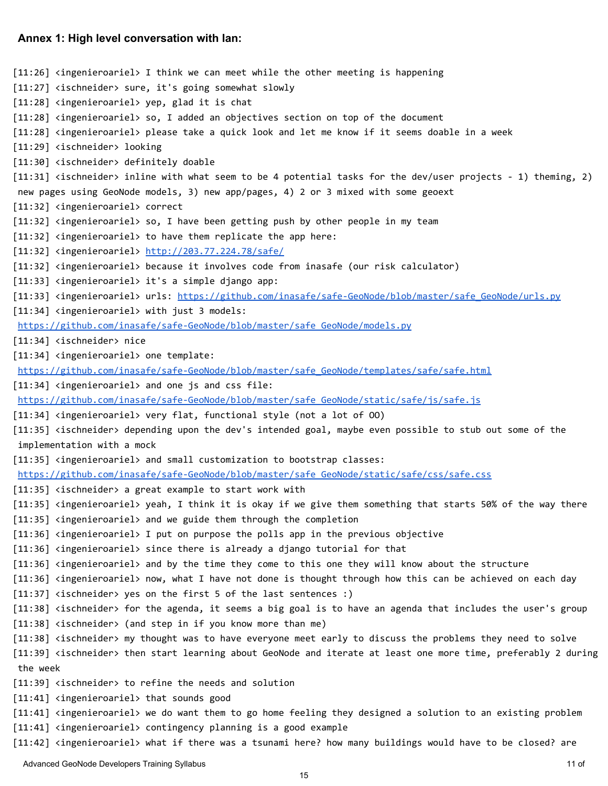#### **Annex 1: High level conversation with Ian:**

```
[11:26] <ingenieroariel> I think we can meet while the other meeting is happening
[11:27] <ischneider> sure, it's going somewhat slowly
[11:28] <ingenieroariel> yep, glad it is chat
[11:28] <ingenieroariel> so, I added an objectives section on top of the document
[11:28] <ingenieroariel> please take a quick look and let me know if it seems doable in a week
[11:29] <ischneider> looking
[11:30] <ischneider> definitely doable
[11:31] <ischneider> inline with what seem to be 4 potential tasks for the dev/user projects - 1) theming, 2)
new pages using GeoNode models, 3) new app/pages, 4) 2 or 3 mixed with some geoext
[11:32] <ingenieroariel> correct
[11:32] <ingenieroariel> so, I have been getting push by other people in my team
[11:32] <ingenieroariel> to have them replicate the app here:
http://203.77.224.78/safe/
[11:32] <ingenieroariel> because it involves code from inasafe (our risk calculator)
[11:33] <ingenieroariel> it's a simple django app:
[11:33] <ingenieroariel> urls: https://github.com/inasafe/safe-GeoNode/blob/master/safe GeoNode/urls.py
[11:34] <ingenieroariel> with just 3 models:
https://github.com/inasafe/safe-GeoNode/blob/master/safe_GeoNode/models.py
[11:34] <ischneider> nice
[11:34] <ingenieroariel> one template:
https://github.com/inasafe/safe-GeoNode/blob/master/safe_GeoNode/templates/safe/safe.html
[11:34] <ingenieroariel> and one js and css file:
https://github.com/inasafe/safe-GeoNode/blob/master/safe_GeoNode/static/safe/js/safe.js
[11:34] <ingenieroariel> very flat, functional style (not a lot of 00)
[11:35] <ischneider> depending upon the dev's intended goal, maybe even possible to stub out some of the
 implementation with a mock
[11:35] <ingenieroariel> and small customization to bootstrap classes:
https://github.com/inasafe/safe-GeoNode/blob/master/safe_GeoNode/static/safe/css/safe.css
[11:35] <ischneider> a great example to start work with
[11:35] <ingenieroariel> yeah, I think it is okay if we give them something that starts 50% of the way there
[11:35] <ingenieroariel> and we guide them through the completion
[11:36] <ingenieroariel> I put on purpose the polls app in the previous objective
[11:36] <ingenieroariel> since there is already a django tutorial for that
[11:36] <ingenieroariel> and by the time they come to this one they will know about the structure
[11:36] <ingenieroariel> now, what I have not done is thought through how this can be achieved on each day
[11:37] <ischneider> yes on the first 5 of the last sentences :)
[11:38] <ischneider> for the agenda, it seems a big goal is to have an agenda that includes the user's group
[11:38] <ischneider> (and step in if you know more than me)
[11:38] <ischneider> my thought was to have everyone meet early to discuss the problems they need to solve
[11:39] <ischneider> then start learning about GeoNode and iterate at least one more time, preferably 2 during
the week
[11:39] <ischneider> to refine the needs and solution
[11:41] <ingenieroariel> that sounds good
[11:41] <ingenieroariel> we do want them to go home feeling they designed a solution to an existing problem
[11:41] <ingenieroariel> contingency planning is a good example
[11:42] <ingenieroariel> what if there was a tsunami here? how many buildings would have to be closed? are
```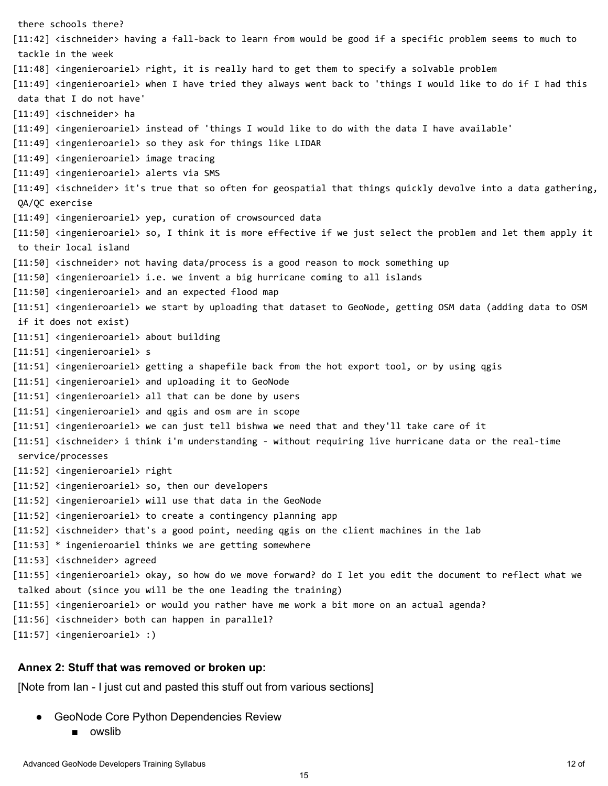there schools there? [11:42] <ischneider> having a fall-back to learn from would be good if a specific problem seems to much to tackle in the week [11:48] <ingenieroariel> right, it is really hard to get them to specify a solvable problem [11:49] <ingenieroariel> when I have tried they always went back to 'things I would like to do if I had this data that I do not have'  $[11:49]$  <ischneider> ha [11:49] <ingenieroariel> instead of 'things I would like to do with the data I have available' [11:49] <ingenieroariel> so they ask for things like LIDAR [11:49] <ingenieroariel> image tracing [11:49] <ingenieroariel> alerts via SMS [11:49] <ischneider> it's true that so often for geospatial that things quickly devolve into a data gathering, QA/QC exercise [11:49] <ingenieroariel> yep, curation of crowsourced data [11:50] <ingenieroariel> so, I think it is more effective if we just select the problem and let them apply it to their local island [11:50] <ischneider> not having data/process is a good reason to mock something up [11:50] <ingenieroariel> i.e. we invent a big hurricane coming to all islands [11:50] <ingenieroariel> and an expected flood map [11:51] <ingenieroariel> we start by uploading that dataset to GeoNode, getting OSM data (adding data to OSM if it does not exist) [11:51] <ingenieroariel> about building [11:51] <ingenieroariel> s [11:51] <ingenieroariel> getting a shapefile back from the hot export tool, or by using qgis [11:51] <ingenieroariel> and uploading it to GeoNode [11:51] <ingenieroariel> all that can be done by users  $[11:51]$  <ingenieroariel> and qgis and osm are in scope [11:51] <ingenieroariel> we can just tell bishwa we need that and they'll take care of it [11:51] <ischneider> i think i'm understanding - without requiring live hurricane data or the real-time service/processes [11:52] <ingenieroariel> right [11:52] <ingenieroariel> so, then our developers [11:52] <ingenieroariel> will use that data in the GeoNode  $[11:52]$  <ingenieroariel> to create a contingency planning app  $[11:52]$  <ischneider> that's a good point, needing qgis on the client machines in the lab  $[11:53]$  \* ingenieroariel thinks we are getting somewhere [11:53] <ischneider> agreed [11:55] <ingenieroariel> okay, so how do we move forward? do I let you edit the document to reflect what we talked about (since you will be the one leading the training) [11:55] <ingenieroariel> or would you rather have me work a bit more on an actual agenda? [11:56] <ischneider> both can happen in parallel? [11:57] <ingenieroariel> :)

#### **Annex 2: Stuff that was removed or broken up:**

[Note from Ian - I just cut and pasted this stuff out from various sections]

- GeoNode Core Python Dependencies Review
	- owslib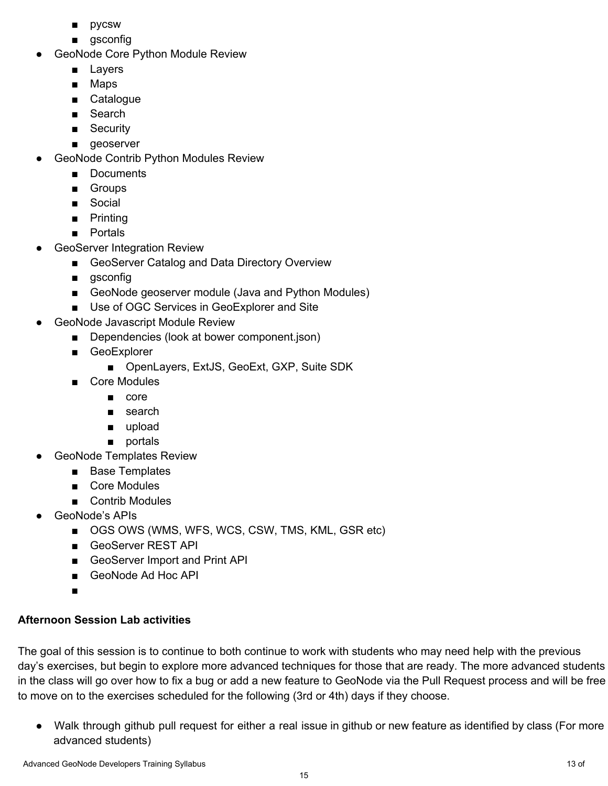- pycsw
- gsconfig
- **GeoNode Core Python Module Review** 
	- Layers
	- Maps
	- Catalogue
	- Search
	- Security
	- geoserver
- GeoNode Contrib Python Modules Review
	- Documents
	- Groups
	- Social
	- Printing
	- Portals
- GeoServer Integration Review
	- GeoServer Catalog and Data Directory Overview
	- gsconfig
	- GeoNode geoserver module (Java and Python Modules)
	- Use of OGC Services in GeoExplorer and Site
- **GeoNode Javascript Module Review** 
	- Dependencies (look at bower component.json)
	- GeoExplorer
		- OpenLayers, ExtJS, GeoExt, GXP, Suite SDK
	- Core Modules
		- core
		- search
		- upload
		- portals
- GeoNode Templates Review
	- Base Templates
	- Core Modules
	- Contrib Modules
- GeoNode's APIs
	- OGS OWS (WMS, WFS, WCS, CSW, TMS, KML, GSR etc)
	- GeoServer REST API
	- GeoServer Import and Print API
	- GeoNode Ad Hoc API
	- ■

# **Afternoon Session Lab activities**

The goal of this session is to continue to both continue to work with students who may need help with the previous day's exercises, but begin to explore more advanced techniques for those that are ready. The more advanced students in the class will go over how to fix a bug or add a new feature to GeoNode via the Pull Request process and will be free to move on to the exercises scheduled for the following (3rd or 4th) days if they choose.

● Walk through github pull request for either a real issue in github or new feature as identified by class (For more advanced students)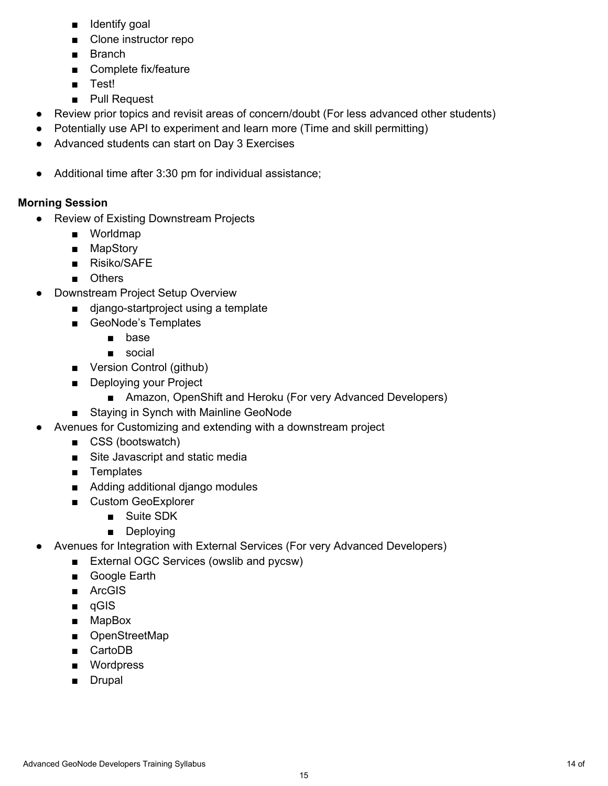- Identify goal
- Clone instructor repo
- Branch
- Complete fix/feature
- Test!
- Pull Request
- Review prior topics and revisit areas of concern/doubt (For less advanced other students)
- Potentially use API to experiment and learn more (Time and skill permitting)
- Advanced students can start on Day 3 Exercises
- Additional time after 3:30 pm for individual assistance;

## **Morning Session**

- Review of Existing Downstream Projects
	- Worldmap
	- MapStory
	- Risiko/SAFE
	- Others
- Downstream Project Setup Overview
	- django-startproject using a template
	- GeoNode's Templates
		- base
		- social
	- Version Control (github)
	- Deploying your Project
		- Amazon, OpenShift and Heroku (For very Advanced Developers)
	- Staying in Synch with Mainline GeoNode
- Avenues for Customizing and extending with a downstream project
	- CSS (bootswatch)
	- Site Javascript and static media
	- Templates
	- Adding additional django modules
	- Custom GeoExplorer
		- Suite SDK
		- Deploying
- Avenues for Integration with External Services (For very Advanced Developers)
	- External OGC Services (owslib and pycsw)
	- Google Earth
	- ArcGIS
	- qGIS
	- MapBox
	- OpenStreetMap
	- CartoDB
	- Wordpress
	- Drupal